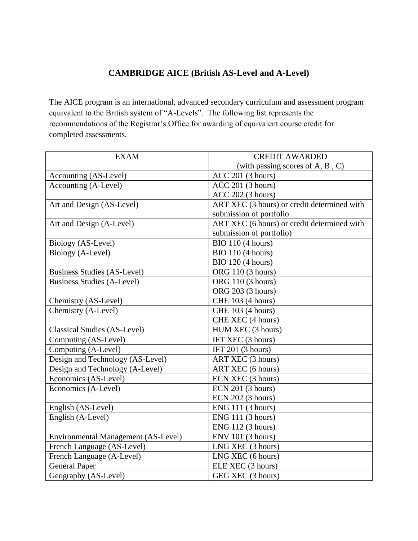## **CAMBRIDGE AICE (British AS-Level and A-Level)**

The AICE program is an international, advanced secondary curriculum and assessment program equivalent to the British system of "A-Levels". The following list represents the recommendations of the Registrar's Office for awarding of equivalent course credit for completed assessments.

| <b>EXAM</b>                         | <b>CREDIT AWARDED</b>                       |
|-------------------------------------|---------------------------------------------|
|                                     | (with passing scores of $A, B, C$ )         |
| Accounting (AS-Level)               | <b>ACC 201 (3 hours)</b>                    |
| Accounting (A-Level)                | <b>ACC 201 (3 hours)</b>                    |
|                                     | <b>ACC 202 (3 hours)</b>                    |
| Art and Design (AS-Level)           | ART XEC (3 hours) or credit determined with |
|                                     | submission of portfolio                     |
| Art and Design (A-Level)            | ART XEC (6 hours) or credit determined with |
|                                     | submission of portfolio)                    |
| Biology (AS-Level)                  | <b>BIO 110 (4 hours)</b>                    |
| Biology (A-Level)                   | <b>BIO</b> 110 (4 hours)                    |
|                                     | <b>BIO 120 (4 hours)</b>                    |
| <b>Business Studies (AS-Level)</b>  | ORG 110 (3 hours)                           |
| <b>Business Studies (A-Level)</b>   | ORG 110 (3 hours)                           |
|                                     | ORG 203 (3 hours)                           |
| Chemistry (AS-Level)                | CHE 103 (4 hours)                           |
| Chemistry (A-Level)                 | <b>CHE 103 (4 hours)</b>                    |
|                                     | CHE XEC (4 hours)                           |
| <b>Classical Studies (AS-Level)</b> | HUM XEC (3 hours)                           |
| Computing (AS-Level)                | IFT XEC (3 hours)                           |
| Computing (A-Level)                 | IFT $201$ (3 hours)                         |
| Design and Technology (AS-Level)    | ART XEC (3 hours)                           |
| Design and Technology (A-Level)     | ART XEC (6 hours)                           |
| Economics (AS-Level)                | ECN XEC (3 hours)                           |
| Economics (A-Level)                 | ECN 201 (3 hours)                           |
|                                     | ECN 202 (3 hours)                           |
| English (AS-Level)                  | ENG 111 (3 hours)                           |
| English (A-Level)                   | <b>ENG 111 (3 hours)</b>                    |
|                                     | ENG 112 (3 hours)                           |
| Environmental Management (AS-Level) | <b>ENV 101 (3 hours)</b>                    |
| French Language (AS-Level)          | LNG XEC (3 hours)                           |
| French Language (A-Level)           | LNG XEC (6 hours)                           |
| <b>General Paper</b>                | ELE XEC (3 hours)                           |
| Geography (AS-Level)                | GEG XEC (3 hours)                           |